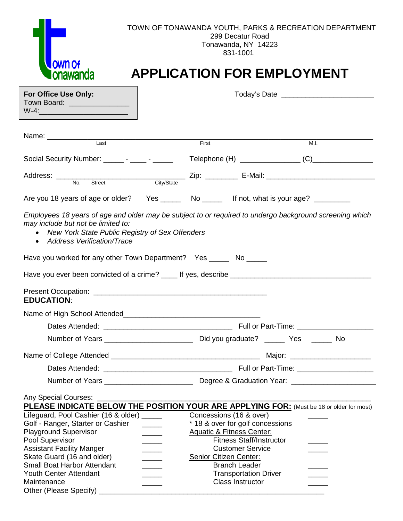| OWN O                                                                                                                                                                                                                                                                                                                                                                                                            | TOWN OF TONAWANDA YOUTH, PARKS & RECREATION DEPARTMENT<br>299 Decatur Road<br>Tonawanda, NY 14223<br>831-1001<br><b>APPLICATION FOR EMPLOYMENT</b>                                                                                                                                                                                                                                |  |  |  |
|------------------------------------------------------------------------------------------------------------------------------------------------------------------------------------------------------------------------------------------------------------------------------------------------------------------------------------------------------------------------------------------------------------------|-----------------------------------------------------------------------------------------------------------------------------------------------------------------------------------------------------------------------------------------------------------------------------------------------------------------------------------------------------------------------------------|--|--|--|
| For Office Use Only:<br>Town Board: _______________                                                                                                                                                                                                                                                                                                                                                              |                                                                                                                                                                                                                                                                                                                                                                                   |  |  |  |
|                                                                                                                                                                                                                                                                                                                                                                                                                  | First<br>M.I.                                                                                                                                                                                                                                                                                                                                                                     |  |  |  |
| Social Security Number: ________ - ______ - ______                                                                                                                                                                                                                                                                                                                                                               |                                                                                                                                                                                                                                                                                                                                                                                   |  |  |  |
|                                                                                                                                                                                                                                                                                                                                                                                                                  |                                                                                                                                                                                                                                                                                                                                                                                   |  |  |  |
|                                                                                                                                                                                                                                                                                                                                                                                                                  | Are you 18 years of age or older? Yes _______ No ______ If not, what is your age? _________                                                                                                                                                                                                                                                                                       |  |  |  |
| may include but not be limited to:<br>New York State Public Registry of Sex Offenders<br>$\bullet$<br>• Address Verification/Trace<br>Have you worked for any other Town Department? Yes _______ No ______<br><b>EDUCATION:</b>                                                                                                                                                                                  | Employees 18 years of age and older may be subject to or required to undergo background screening which                                                                                                                                                                                                                                                                           |  |  |  |
|                                                                                                                                                                                                                                                                                                                                                                                                                  |                                                                                                                                                                                                                                                                                                                                                                                   |  |  |  |
|                                                                                                                                                                                                                                                                                                                                                                                                                  |                                                                                                                                                                                                                                                                                                                                                                                   |  |  |  |
|                                                                                                                                                                                                                                                                                                                                                                                                                  | Major: ________________________                                                                                                                                                                                                                                                                                                                                                   |  |  |  |
| Any Special Courses:<br>Lifeguard, Pool Cashier (16 & older) _____<br>Golf - Ranger, Starter or Cashier<br>$\frac{1}{2}$ and $\frac{1}{2}$ and $\frac{1}{2}$<br><b>Playground Supervisor</b><br>Pool Supervisor<br>$\overline{\phantom{a}}$<br><b>Assistant Facility Manger</b><br>$\overline{\phantom{a}}$<br>Skate Guard (16 and older)<br><b>Small Boat Harbor Attendant</b><br><b>Youth Center Attendant</b> | PLEASE INDICATE BELOW THE POSITION YOUR ARE APPLYING FOR: (Must be 18 or older for most)<br>Concessions (16 & over)<br>* 18 & over for golf concessions<br><b>Aquatic &amp; Fitness Center:</b><br><b>Fitness Staff/Instructor</b><br><b>Customer Service</b><br><b>Senior Citizen Center:</b><br><b>Branch Leader</b><br><b>Transportation Driver</b><br><b>Class Instructor</b> |  |  |  |
| Maintenance<br>Other (Please Specify) _                                                                                                                                                                                                                                                                                                                                                                          |                                                                                                                                                                                                                                                                                                                                                                                   |  |  |  |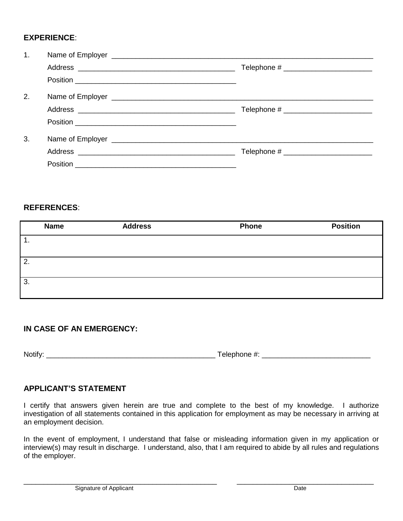# **EXPERIENCE**:

| 1. |  |  |  |  |  |
|----|--|--|--|--|--|
|    |  |  |  |  |  |
|    |  |  |  |  |  |
| 2. |  |  |  |  |  |
|    |  |  |  |  |  |
|    |  |  |  |  |  |
| 3. |  |  |  |  |  |
|    |  |  |  |  |  |
|    |  |  |  |  |  |

#### **REFERENCES**:

| <b>Name</b>    | <b>Address</b> | <b>Phone</b> | <b>Position</b> |
|----------------|----------------|--------------|-----------------|
| $\mathbf{1}$ . |                |              |                 |
| 2.             |                |              |                 |
| 3.             |                |              |                 |

# **IN CASE OF AN EMERGENCY:**

Notify: \_\_\_\_\_\_\_\_\_\_\_\_\_\_\_\_\_\_\_\_\_\_\_\_\_\_\_\_\_\_\_\_\_\_\_\_\_\_\_\_\_\_ Telephone #: \_\_\_\_\_\_\_\_\_\_\_\_\_\_\_\_\_\_\_\_\_\_\_\_\_\_\_

## **APPLICANT'S STATEMENT**

I certify that answers given herein are true and complete to the best of my knowledge. I authorize investigation of all statements contained in this application for employment as may be necessary in arriving at an employment decision.

In the event of employment, I understand that false or misleading information given in my application or interview(s) may result in discharge. I understand, also, that I am required to abide by all rules and regulations of the employer.